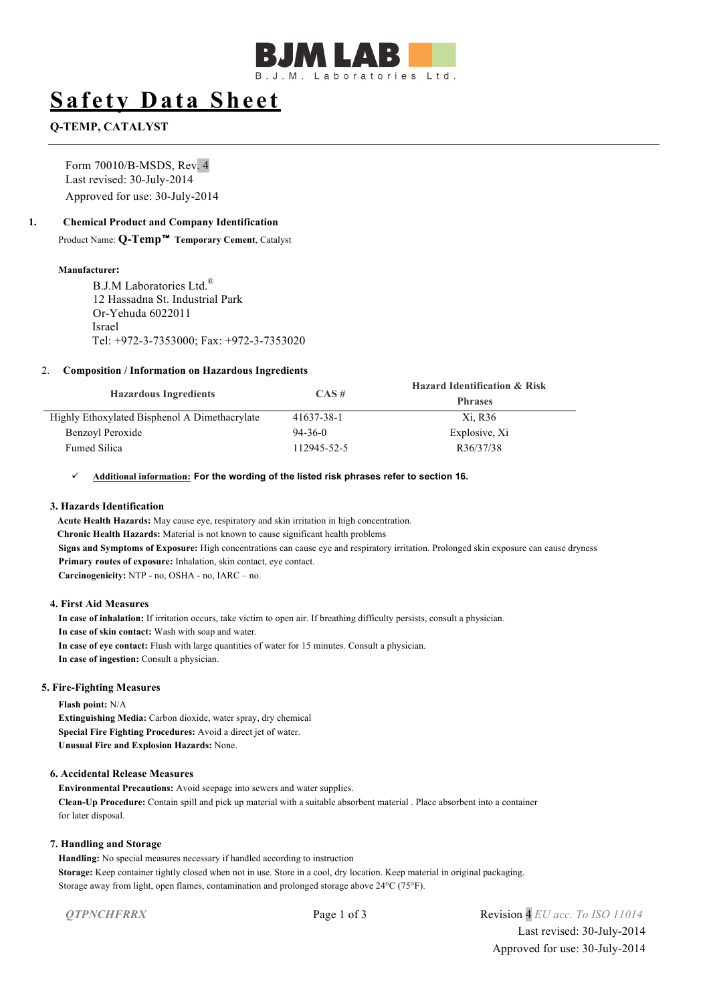

# **Safety Data Sheet**

# **Q-TEMP, CATALYST**

Form 70010/B-MSDS, Rev. 4 Last revised: 30-July-2014 Approved for use: 30-July-2014

### **1. Chemical Product and Company Identification**

Product Name: **Q-Temp**™ **Temporary Cement**, Catalyst

#### **Manufacturer:**

B.J.M Laboratories Ltd<sup>®</sup> 12 Hassadna St. Industrial Park Or-Yehuda 6022011 Israel Tel: +972-3-7353000; Fax: +972-3-7353020

#### 2. **Composition / Information on Hazardous Ingredients**

| <b>Hazardous Ingredients</b>                  | CAS#        | <b>Hazard Identification &amp; Risk</b><br><b>Phrases</b> |
|-----------------------------------------------|-------------|-----------------------------------------------------------|
| Highly Ethoxylated Bisphenol A Dimethacrylate | 41637-38-1  | Xi, R36                                                   |
| Benzoyl Peroxide                              | $94-36-0$   | Explosive, Xi                                             |
| <b>Fumed Silica</b>                           | 112945-52-5 | R36/37/38                                                 |

#### ü **Additional information: For the wording of the listed risk phrases refer to section 16.**

#### **3. Hazards Identification**

**Acute Health Hazards:** May cause eye, respiratory and skin irritation in high concentration. **Chronic Health Hazards:** Material is not known to cause significant health problems **Signs and Symptoms of Exposure:** High concentrations can cause eye and respiratory irritation. Prolonged skin exposure can cause dryness **Primary routes of exposure:** Inhalation, skin contact, eye contact. **Carcinogenicity:** NTP - no, OSHA - no, IARC – no.

#### **4. First Aid Measures**

**In case of inhalation:** If irritation occurs, take victim to open air. If breathing difficulty persists, consult a physician. **In case of skin contact:** Wash with soap and water. **In case of eye contact:** Flush with large quantities of water for 15 minutes. Consult a physician. **In case of ingestion:** Consult a physician.

#### **5. Fire-Fighting Measures**

**Flash point:** N/A **Extinguishing Media:** Carbon dioxide, water spray, dry chemical **Special Fire Fighting Procedures:** Avoid a direct jet of water. **Unusual Fire and Explosion Hazards:** None.

#### **6. Accidental Release Measures**

**Environmental Precautions:** Avoid seepage into sewers and water supplies. **Clean-Up Procedure:** Contain spill and pick up material with a suitable absorbent material . Place absorbent into a container for later disposal.

#### **7. Handling and Storage**

**Handling:** No special measures necessary if handled according to instruction **Storage:** Keep container tightly closed when not in use. Store in a cool, dry location. Keep material in original packaging. Storage away from light, open flames, contamination and prolonged storage above 24°C (75°F).

*QTPNCHFRRX* Page 1 of 3 Revision 4 *EU acc. To ISO 11014* Last revised: 30-July-2014 Approved for use: 30-July-2014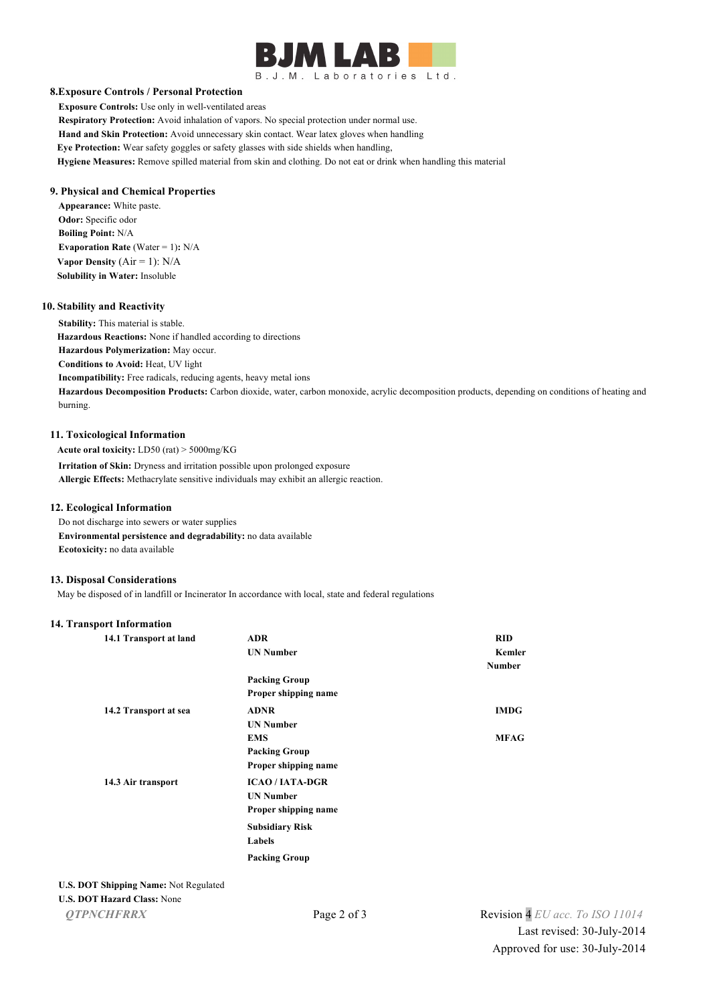# $\mathbf{A}$ B.J.M. Laboratories Ltd.

#### **8.Exposure Controls / Personal Protection**

**Exposure Controls:** Use only in well-ventilated areas **Respiratory Protection:** Avoid inhalation of vapors. No special protection under normal use. **Hand and Skin Protection:** Avoid unnecessary skin contact. Wear latex gloves when handling **Eye Protection:** Wear safety goggles or safety glasses with side shields when handling, **Hygiene Measures:** Remove spilled material from skin and clothing. Do not eat or drink when handling this material

#### **9. Physical and Chemical Properties**

**Appearance:** White paste. **Odor:** Specific odor **Boiling Point:** N/A **Evaporation Rate (Water = 1): N/A Vapor Density**  $(Air = 1)$ :  $N/A$ **Solubility in Water:** Insoluble

#### **10. Stability and Reactivity**

**Stability:** This material is stable. **Hazardous Reactions:** None if handled according to directions **Hazardous Polymerization:** May occur. **Conditions to Avoid:** Heat, UV light **Incompatibility:** Free radicals, reducing agents, heavy metal ions **Hazardous Decomposition Products:** Carbon dioxide, water, carbon monoxide, acrylic decomposition products, depending on conditions of heating and burning.

#### **11. Toxicological Information**

**Acute oral toxicity:** LD50 (rat) > 5000mg/KG **Irritation of Skin:** Dryness and irritation possible upon prolonged exposure **Allergic Effects:** Methacrylate sensitive individuals may exhibit an allergic reaction.

#### **12. Ecological Information**

Do not discharge into sewers or water supplies **Environmental persistence and degradability:** no data available **Ecotoxicity:** no data available

#### **13. Disposal Considerations**

May be disposed of in landfill or Incinerator In accordance with local, state and federal regulations

#### **14. Transport Information**

| 14.1 Transport at land | <b>ADR</b>             | <b>RID</b>    |
|------------------------|------------------------|---------------|
|                        | <b>UN Number</b>       | Kemler        |
|                        |                        | <b>Number</b> |
|                        | <b>Packing Group</b>   |               |
|                        | Proper shipping name   |               |
| 14.2 Transport at sea  | <b>ADNR</b>            | <b>IMDG</b>   |
|                        | <b>UN Number</b>       |               |
|                        | <b>EMS</b>             | <b>MFAG</b>   |
|                        | <b>Packing Group</b>   |               |
|                        | Proper shipping name   |               |
| 14.3 Air transport     | <b>ICAO/IATA-DGR</b>   |               |
|                        | <b>UN Number</b>       |               |
|                        | Proper shipping name   |               |
|                        | <b>Subsidiary Risk</b> |               |
|                        | Labels                 |               |
|                        | <b>Packing Group</b>   |               |

# **U.S. DOT Shipping Name:** Not Regulated

#### **U.S. DOT Hazard Class:** None

*QTPNCHFRRX* Page 2 of 3 Revision 4 *EU acc. To ISO 11014* Last revised: 30-July-2014 Approved for use: 30-July-2014